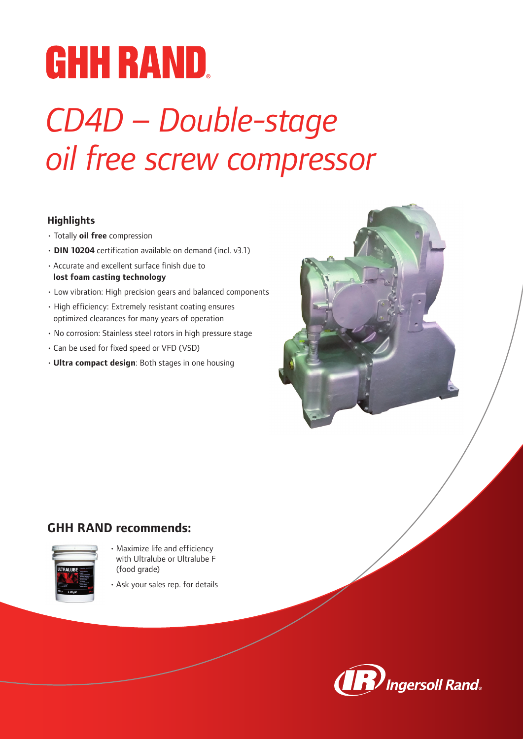# **GHH RAND.**

## *CD4D – Double-stage oil free screw compressor*

## **Highlights**

- Totally **oil free** compression
- **DIN 10204** certification available on demand (incl. v3.1)
- Accurate and excellent surface finish due to **lost foam casting technology**
- Low vibration: High precision gears and balanced components
- High efficiency: Extremely resistant coating ensures optimized clearances for many years of operation
- No corrosion: Stainless steel rotors in high pressure stage
- Can be used for fixed speed or VFD (VSD)
- **Ultra compact design**: Both stages in one housing



## **GHH RAND recommends:**



- Maximize life and efficiency with Ultralube or Ultralube F (food grade)
- Ask your sales rep. for details